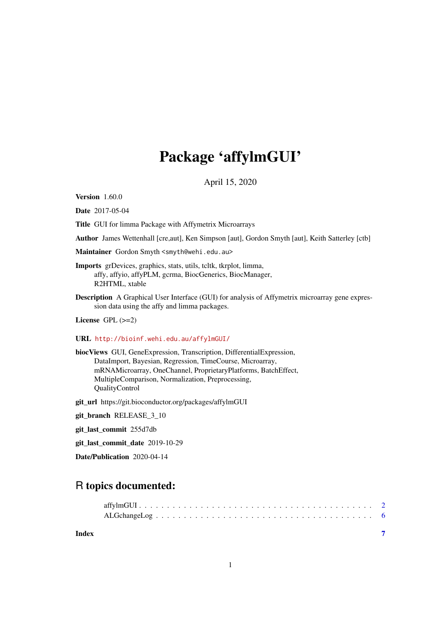## Package 'affylmGUI'

April 15, 2020

Version 1.60.0

Date 2017-05-04

Title GUI for limma Package with Affymetrix Microarrays

Author James Wettenhall [cre,aut], Ken Simpson [aut], Gordon Smyth [aut], Keith Satterley [ctb]

Maintainer Gordon Smyth <smyth@wehi.edu.au>

- Imports grDevices, graphics, stats, utils, tcltk, tkrplot, limma, affy, affyio, affyPLM, gcrma, BiocGenerics, BiocManager, R2HTML, xtable
- Description A Graphical User Interface (GUI) for analysis of Affymetrix microarray gene expression data using the affy and limma packages.

License GPL (>=2)

#### URL <http://bioinf.wehi.edu.au/affylmGUI/>

biocViews GUI, GeneExpression, Transcription, DifferentialExpression, DataImport, Bayesian, Regression, TimeCourse, Microarray, mRNAMicroarray, OneChannel, ProprietaryPlatforms, BatchEffect, MultipleComparison, Normalization, Preprocessing, QualityControl

git\_url https://git.bioconductor.org/packages/affylmGUI

git\_branch RELEASE\_3\_10

git\_last\_commit 255d7db

git\_last\_commit\_date 2019-10-29

Date/Publication 2020-04-14

### R topics documented:

**Index** [7](#page-6-0)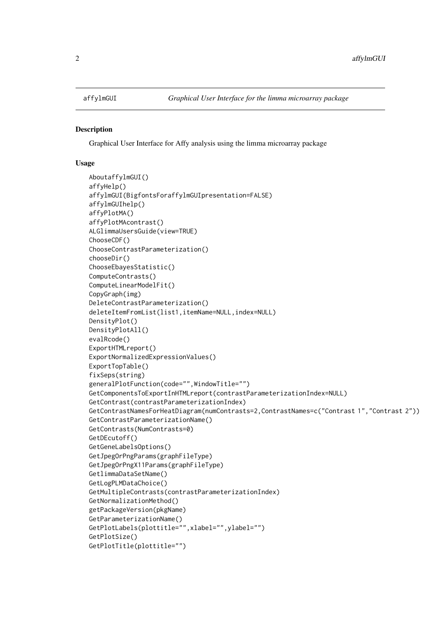<span id="page-1-0"></span>

#### Description

Graphical User Interface for Affy analysis using the limma microarray package

#### Usage

```
AboutaffylmGUI()
affyHelp()
affylmGUI(BigfontsForaffylmGUIpresentation=FALSE)
affylmGUIhelp()
affyPlotMA()
affyPlotMAcontrast()
ALGlimmaUsersGuide(view=TRUE)
ChooseCDF()
ChooseContrastParameterization()
chooseDir()
ChooseEbayesStatistic()
ComputeContrasts()
ComputeLinearModelFit()
CopyGraph(img)
DeleteContrastParameterization()
deleteItemFromList(list1,itemName=NULL,index=NULL)
DensityPlot()
DensityPlotAll()
evalRcode()
ExportHTMLreport()
ExportNormalizedExpressionValues()
ExportTopTable()
fixSeps(string)
generalPlotFunction(code="",WindowTitle="")
GetComponentsToExportInHTMLreport(contrastParameterizationIndex=NULL)
GetContrast(contrastParameterizationIndex)
GetContrastNamesForHeatDiagram(numContrasts=2,ContrastNames=c("Contrast 1","Contrast 2"))
GetContrastParameterizationName()
GetContrasts(NumContrasts=0)
GetDEcutoff()
GetGeneLabelsOptions()
GetJpegOrPngParams(graphFileType)
GetJpegOrPngX11Params(graphFileType)
GetlimmaDataSetName()
GetLogPLMDataChoice()
GetMultipleContrasts(contrastParameterizationIndex)
GetNormalizationMethod()
getPackageVersion(pkgName)
GetParameterizationName()
GetPlotLabels(plottitle="",xlabel="",ylabel="")
GetPlotSize()
GetPlotTitle(plottitle="")
```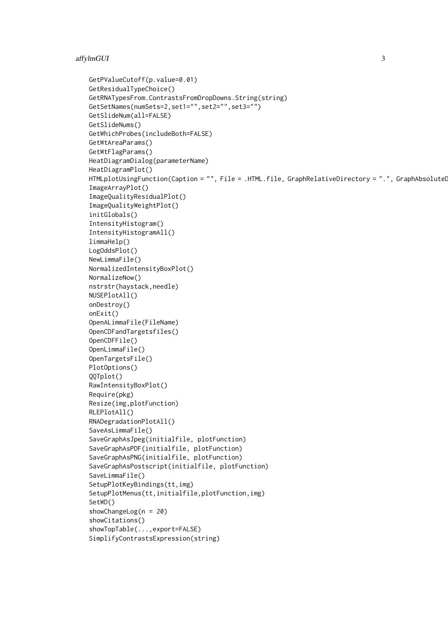```
GetPValueCutoff(p.value=0.01)
GetResidualTypeChoice()
GetRNATypesFrom.ContrastsFromDropDowns.String(string)
GetSetNames(numSets=2,set1="",set2="",set3="")
GetSlideNum(all=FALSE)
GetSlideNums()
GetWhichProbes(includeBoth=FALSE)
GetWtAreaParams()
GetWtFlagParams()
HeatDiagramDialog(parameterName)
HeatDiagramPlot()
HTMLplotUsingFunction(Caption = "", File = .HTML.file, GraphRelativeDirectory = ".", GraphAbsoluteD
ImageArrayPlot()
ImageQualityResidualPlot()
ImageQualityWeightPlot()
initGlobals()
IntensityHistogram()
IntensityHistogramAll()
limmaHelp()
LogOddsPlot()
NewLimmaFile()
NormalizedIntensityBoxPlot()
NormalizeNow()
nstrstr(haystack,needle)
NUSEPlotAll()
onDestroy()
onExit()
OpenALimmaFile(FileName)
OpenCDFandTargetsfiles()
OpenCDFFile()
OpenLimmaFile()
OpenTargetsFile()
PlotOptions()
QQTplot()
RawIntensityBoxPlot()
Require(pkg)
Resize(img,plotFunction)
RLEPlotAll()
RNADegradationPlotAll()
SaveAsLimmaFile()
SaveGraphAsJpeg(initialfile, plotFunction)
SaveGraphAsPDF(initialfile, plotFunction)
SaveGraphAsPNG(initialfile, plotFunction)
SaveGraphAsPostscript(initialfile, plotFunction)
SaveLimmaFile()
SetupPlotKeyBindings(tt,img)
SetupPlotMenus(tt,initialfile,plotFunction,img)
SetWD()
showChangeLog(n = 20)
showCitations()
showTopTable(...,export=FALSE)
SimplifyContrastsExpression(string)
```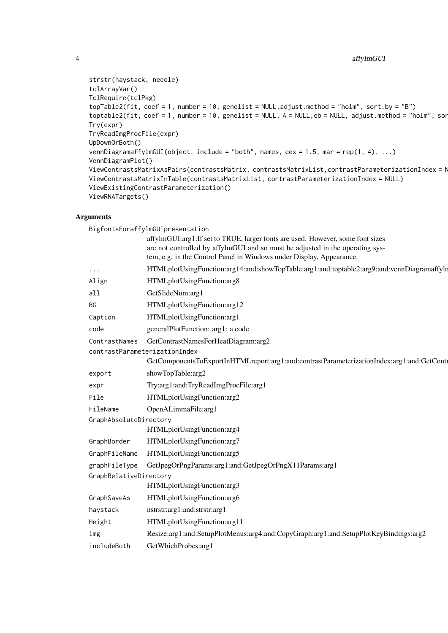```
strstr(haystack, needle)
tclArrayVar()
TclRequire(tclPkg)
topTable2(fit, coef = 1, number = 10, genelist = NULL,adjust.method = "holm", sort.by = "B")
toptable2(fit, coef = 1, number = 10, genelist = NULL, A = NULL, eb = NULL, adjust.method = "holm", sor
Try(expr)
TryReadImgProcFile(expr)
UpDownOrBoth()
vennDiagramaffylmGUI(object, include = "both", names, cex = 1.5, mar = rep(1, 4), ...)
VennDiagramPlot()
ViewContrastsMatrixAsPairs(contrastsMatrix, contrastsMatrixList,contrastParameterizationIndex = N
ViewContrastsMatrixInTable(contrastsMatrixList, contrastParameterizationIndex = NULL)
ViewExistingContrastParameterization()
ViewRNATargets()
```
#### Arguments

|                                   | BigfontsForaffylmGUIpresentation<br>affylmGUI:arg1:If set to TRUE, larger fonts are used. However, some font sizes                                    |
|-----------------------------------|-------------------------------------------------------------------------------------------------------------------------------------------------------|
|                                   | are not controlled by affylmGUI and so must be adjusted in the operating sys-<br>tem, e.g. in the Control Panel in Windows under Display, Appearance. |
| $\bullet$ . $\bullet$ . $\bullet$ | HTMLplotUsingFunction:arg14:and:showTopTable:arg1:and:toptable2:arg9:and:vennDiagramaffyln                                                            |
| Align                             | HTMLplotUsingFunction:arg8                                                                                                                            |
| all                               | GetSlideNum:arg1                                                                                                                                      |
| <b>BG</b>                         | HTMLplotUsingFunction:arg12                                                                                                                           |
| Caption                           | HTMLplotUsingFunction:arg1                                                                                                                            |
| code                              | generalPlotFunction: arg1: a code                                                                                                                     |
| ContrastNames                     | GetContrastNamesForHeatDiagram:arg2                                                                                                                   |
|                                   | contrastParameterizationIndex                                                                                                                         |
|                                   | GetComponentsToExportInHTMLreport:arg1:and:contrastParameterizationIndex:arg1:and:GetContr                                                            |
| export                            | showTopTable:arg2                                                                                                                                     |
| expr                              | Try:arg1:and:TryReadImgProcFile:arg1                                                                                                                  |
| File                              | HTMLplotUsingFunction:arg2                                                                                                                            |
| FileName                          | OpenALimmaFile:arg1                                                                                                                                   |
| GraphAbsoluteDirectory            |                                                                                                                                                       |
|                                   | HTMLplotUsingFunction:arg4                                                                                                                            |
| GraphBorder                       | HTMLplotUsingFunction:arg7                                                                                                                            |
| GraphFileName                     | HTMLplotUsingFunction:arg5                                                                                                                            |
| graphFileType                     | GetJpegOrPngParams:arg1:and:GetJpegOrPngX11Params:arg1                                                                                                |
| GraphRelativeDirectory            |                                                                                                                                                       |
|                                   | HTMLplotUsingFunction:arg3                                                                                                                            |
| GraphSaveAs                       | HTMLplotUsingFunction:arg6                                                                                                                            |
| haystack                          | nstrstr:arg1:and:strstr:arg1                                                                                                                          |
| Height                            | HTMLplotUsingFunction:arg11                                                                                                                           |
| img                               | Resize:arg1:and:SetupPlotMenus:arg4:and:CopyGraph:arg1:and:SetupPlotKeyBindings:arg2                                                                  |
| includeBoth                       | GetWhichProbes:arg1                                                                                                                                   |
|                                   |                                                                                                                                                       |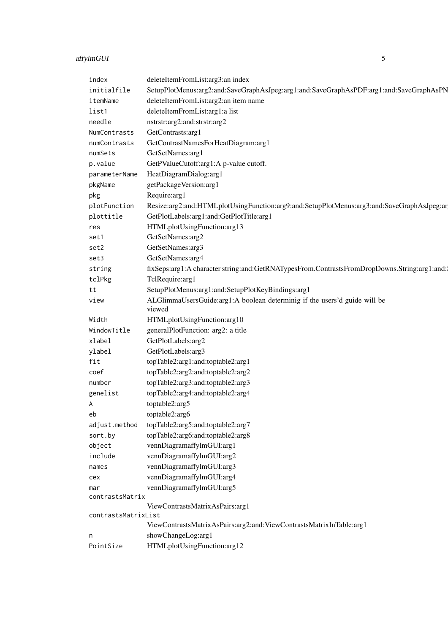## affylmGUI 5

| index                  | deleteItemFromList:arg3:an index                                                            |
|------------------------|---------------------------------------------------------------------------------------------|
| initialfile            | SetupPlotMenus:arg2:and:SaveGraphAsJpeg:arg1:and:SaveGraphAsPDF:arg1:and:SaveGraphAsPN      |
| itemName               | deleteItemFromList:arg2:an item name                                                        |
| list1                  | deleteItemFromList:arg1:a list                                                              |
| needle                 | nstrstr:arg2:and:strstr:arg2                                                                |
| NumContrasts           | GetContrasts:arg1                                                                           |
| numContrasts           | GetContrastNamesForHeatDiagram:arg1                                                         |
| numSets                | GetSetNames:arg1                                                                            |
| p.value                | GetPValueCutoff:arg1:A p-value cutoff.                                                      |
| parameterName          | HeatDiagramDialog:arg1                                                                      |
| pkgName                | getPackageVersion:arg1                                                                      |
| pkg                    | Require:arg1                                                                                |
| plotFunction           | Resize:arg2:and:HTMLplotUsingFunction:arg9:and:SetupPlotMenus:arg3:and:SaveGraphAsJpeg:ar   |
| plottitle              | GetPlotLabels:arg1:and:GetPlotTitle:arg1                                                    |
| res                    | HTMLplotUsingFunction:arg13                                                                 |
| set1                   | GetSetNames:arg2                                                                            |
| set2                   | GetSetNames:arg3                                                                            |
| set3                   | GetSetNames:arg4                                                                            |
| string                 | fixSeps:arg1:A character string:and:GetRNATypesFrom.ContrastsFromDropDowns.String:arg1:and: |
| tclPkg                 | TclRequire:arg1                                                                             |
| tt                     | SetupPlotMenus:arg1:and:SetupPlotKeyBindings:arg1                                           |
| view                   | ALGlimmaUsersGuide:arg1:A boolean determinig if the users'd guide will be                   |
|                        | viewed                                                                                      |
| Width                  | HTMLplotUsingFunction:arg10                                                                 |
| WindowTitle            | generalPlotFunction: arg2: a title                                                          |
| xlabel                 | GetPlotLabels:arg2                                                                          |
| ylabel                 | GetPlotLabels:arg3                                                                          |
| fit                    | topTable2:arg1:and:toptable2:arg1                                                           |
| coef                   | topTable2:arg2:and:toptable2:arg2                                                           |
| number                 | topTable2:arg3:and:toptable2:arg3                                                           |
| genelist               | topTable2:arg4:and:toptable2:arg4                                                           |
| Α                      | toptable2:arg5                                                                              |
| eb                     | toptable2:arg6                                                                              |
| adjust.method          | topTable2:arg5:and:toptable2:arg7                                                           |
| sort.by                | topTable2:arg6:and:toptable2:arg8                                                           |
| object                 | vennDiagramaffylmGUI:arg1                                                                   |
| include                | vennDiagramaffylmGUI:arg2                                                                   |
|                        | vennDiagramaffylmGUI:arg3                                                                   |
| names                  | vennDiagramaffylmGUI:arg4                                                                   |
| cex                    |                                                                                             |
| mar<br>contrastsMatrix | vennDiagramaffylmGUI:arg5                                                                   |
|                        | ViewContrastsMatrixAsPairs:arg1                                                             |
| contrastsMatrixList    |                                                                                             |
|                        | ViewContrastsMatrixAsPairs:arg2:and:ViewContrastsMatrixInTable:arg1                         |
| n                      | showChangeLog:arg1                                                                          |
| PointSize              | HTMLplotUsingFunction:arg12                                                                 |
|                        |                                                                                             |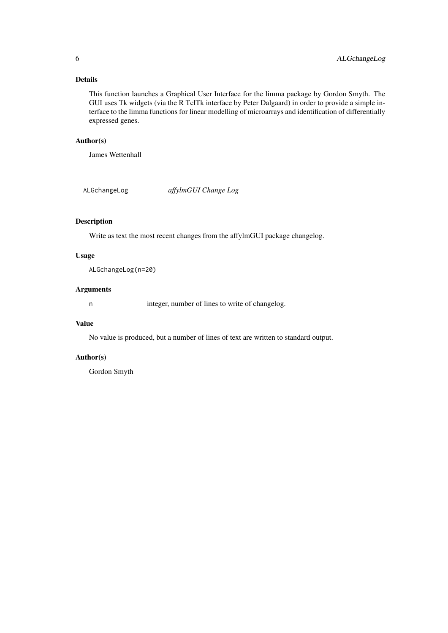#### <span id="page-5-0"></span>Details

This function launches a Graphical User Interface for the limma package by Gordon Smyth. The GUI uses Tk widgets (via the R TclTk interface by Peter Dalgaard) in order to provide a simple interface to the limma functions for linear modelling of microarrays and identification of differentially expressed genes.

#### Author(s)

James Wettenhall

ALGchangeLog *affylmGUI Change Log*

#### Description

Write as text the most recent changes from the affylmGUI package changelog.

#### Usage

ALGchangeLog(n=20)

#### Arguments

n integer, number of lines to write of changelog.

#### Value

No value is produced, but a number of lines of text are written to standard output.

#### Author(s)

Gordon Smyth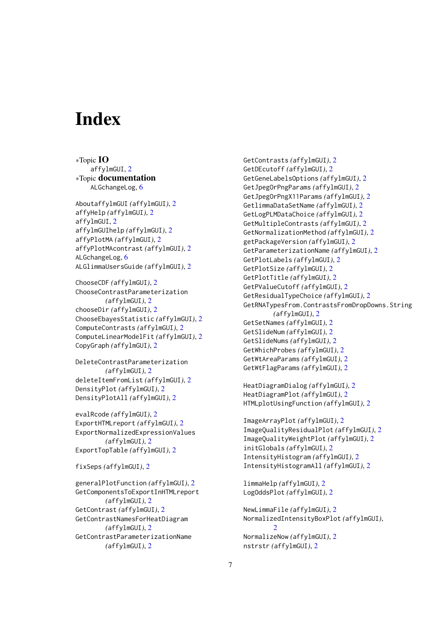# <span id="page-6-0"></span>Index

∗Topic IO affylmGUI, [2](#page-1-0) ∗Topic documentation ALGchangeLog, [6](#page-5-0)

AboutaffylmGUI *(*affylmGUI*)*, [2](#page-1-0) affyHelp *(*affylmGUI*)*, [2](#page-1-0) affylmGUI, [2](#page-1-0) affylmGUIhelp *(*affylmGUI*)*, [2](#page-1-0) affyPlotMA *(*affylmGUI*)*, [2](#page-1-0) affyPlotMAcontrast *(*affylmGUI*)*, [2](#page-1-0) ALGchangeLog, [6](#page-5-0) ALGlimmaUsersGuide *(*affylmGUI*)*, [2](#page-1-0)

ChooseCDF *(*affylmGUI*)*, [2](#page-1-0) ChooseContrastParameterization *(*affylmGUI*)*, [2](#page-1-0) chooseDir *(*affylmGUI*)*, [2](#page-1-0) ChooseEbayesStatistic *(*affylmGUI*)*, [2](#page-1-0) ComputeContrasts *(*affylmGUI*)*, [2](#page-1-0) ComputeLinearModelFit *(*affylmGUI*)*, [2](#page-1-0) CopyGraph *(*affylmGUI*)*, [2](#page-1-0)

DeleteContrastParameterization *(*affylmGUI*)*, [2](#page-1-0) deleteItemFromList *(*affylmGUI*)*, [2](#page-1-0) DensityPlot *(*affylmGUI*)*, [2](#page-1-0) DensityPlotAll *(*affylmGUI*)*, [2](#page-1-0)

evalRcode *(*affylmGUI*)*, [2](#page-1-0) ExportHTMLreport *(*affylmGUI*)*, [2](#page-1-0) ExportNormalizedExpressionValues *(*affylmGUI*)*, [2](#page-1-0) ExportTopTable *(*affylmGUI*)*, [2](#page-1-0)

fixSeps *(*affylmGUI*)*, [2](#page-1-0)

generalPlotFunction *(*affylmGUI*)*, [2](#page-1-0) GetComponentsToExportInHTMLreport *(*affylmGUI*)*, [2](#page-1-0) GetContrast *(*affylmGUI*)*, [2](#page-1-0) GetContrastNamesForHeatDiagram *(*affylmGUI*)*, [2](#page-1-0) GetContrastParameterizationName *(*affylmGUI*)*, [2](#page-1-0)

GetContrasts *(*affylmGUI*)*, [2](#page-1-0) GetDEcutoff *(*affylmGUI*)*, [2](#page-1-0) GetGeneLabelsOptions *(*affylmGUI*)*, [2](#page-1-0) GetJpegOrPngParams *(*affylmGUI*)*, [2](#page-1-0) GetJpegOrPngX11Params *(*affylmGUI*)*, [2](#page-1-0) GetlimmaDataSetName *(*affylmGUI*)*, [2](#page-1-0) GetLogPLMDataChoice *(*affylmGUI*)*, [2](#page-1-0) GetMultipleContrasts *(*affylmGUI*)*, [2](#page-1-0) GetNormalizationMethod *(*affylmGUI*)*, [2](#page-1-0) getPackageVersion *(*affylmGUI*)*, [2](#page-1-0) GetParameterizationName *(*affylmGUI*)*, [2](#page-1-0) GetPlotLabels *(*affylmGUI*)*, [2](#page-1-0) GetPlotSize *(*affylmGUI*)*, [2](#page-1-0) GetPlotTitle *(*affylmGUI*)*, [2](#page-1-0) GetPValueCutoff *(*affylmGUI*)*, [2](#page-1-0) GetResidualTypeChoice *(*affylmGUI*)*, [2](#page-1-0) GetRNATypesFrom.ContrastsFromDropDowns.String *(*affylmGUI*)*, [2](#page-1-0) GetSetNames *(*affylmGUI*)*, [2](#page-1-0) GetSlideNum *(*affylmGUI*)*, [2](#page-1-0) GetSlideNums *(*affylmGUI*)*, [2](#page-1-0) GetWhichProbes *(*affylmGUI*)*, [2](#page-1-0) GetWtAreaParams *(*affylmGUI*)*, [2](#page-1-0) GetWtFlagParams *(*affylmGUI*)*, [2](#page-1-0)

HeatDiagramDialog *(*affylmGUI*)*, [2](#page-1-0) HeatDiagramPlot *(*affylmGUI*)*, [2](#page-1-0) HTMLplotUsingFunction *(*affylmGUI*)*, [2](#page-1-0)

```
ImageArrayPlot (affylmGUI), 2
ImageQualityResidualPlot (affylmGUI), 2
ImageQualityWeightPlot (affylmGUI), 2
initGlobals (affylmGUI), 2
IntensityHistogram (affylmGUI), 2
IntensityHistogramAll (affylmGUI), 2
```
limmaHelp *(*affylmGUI*)*, [2](#page-1-0) LogOddsPlot *(*affylmGUI*)*, [2](#page-1-0)

```
NewLimmaFile (affylmGUI), 2
NormalizedIntensityBoxPlot (affylmGUI),
         \mathcal{D}NormalizeNow (affylmGUI), 2
nstrstr (affylmGUI), 2
```